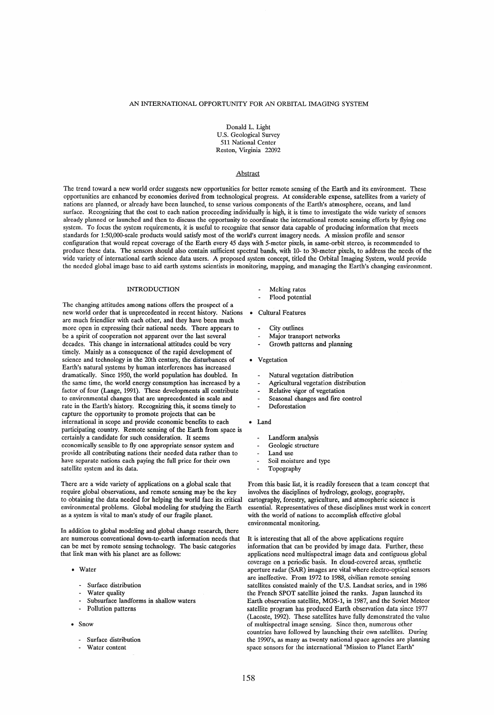# AN INTERNATIONAL OPPORTUNITY FOR AN ORBITAL IMAGING SYSTEM

Donald L. Light U.S. Geological Survey 511 National Center Reston, Virginia 22092

# Abstract

The trend toward a new world order suggests new opportunities for better remote sensing of the Earth and its environment. These opportunities are enhanced by economies derived from technological progress. At considerable expense, satellites from a variety of nations are planned, or already have been launched, to sense various components of the Earth's atmosphere, oceans, and land surface. Recognizing that the cost to each nation proceeding individually is high, it is time to investigate the wide variety of sensors already planned or launched and then to discuss the opportunity to coordinate the international remote sensing efforts by flying one system. To focus the system requirements, it is useful to recognize that sensor data capable of producing information that meets standards for 1:50,000-scale products would satisfy most of the world's current imagery needs. A mission proftle and sensor configuration that would repeat coverage of the Earth every 45 days with 5-meter pixels, in same-orbit stereo, is recommended to produce these data. The sensors should also contain sufficient spectral bands, with 10- to 30-meter pixels, to address the needs of the wide variety of international earth science data users. A proposed system concept, titled the Orbital Imaging System, would provide the needed global image base to aid earth systems scientists in monitoring, mapping, and managing the Earth's changing environment.

# INTRODUCTION

The changing attitudes among nations offers the prospect of a new world order that is unprecedented in recent history. Nations are much friendlier with each other, and they have been much more open in expressing their national needs. There appears to be a spirit of cooperation not apparent over the last several decades. This change in international attitudes could be very timely. Mainly as a consequence of the rapid development of science and technology in the 20th century, the disturbances of Earth's natural systems by human interferences has increased dramatically. Since 1950, the world population has doubled. In the same time, the world energy consumption has increased by a factor of four (Lange, 1991). These developments all contribute to environmental changes that are unprecedented in scale and rate in the Earth's history. Recognizing this, it seems timely to capture the opportunity to promote projects that can be international in scope and provide economic benefits to each participating country. Remote sensing of the Earth from space is certainly a candidate for such consideration. It seems economically sensible to fly one appropriate sensor system and provide all contributing nations their needed data rather than to have separate nations each paying the fuH price for their own satellite system and its data.

There are a wide variety of applications on a global scale that require global observations, and remote sensing may be the key to obtaining the data needed for helping the world face its critical environmental problems. Global modeling for studying the Earth as a system is vital to man's study of our fragile planet.

In addition to global modeling and global change research, there are numerous conventional down-to-earth information needs that can be met by remote sensing technology. The basic categories that link man with his planet are as folIows:

- Water
	- Surface distribution
	- Water quality
	- Subsurface landforms in shallow waters
	- Pollution patterns
- Snow
	- Surface distribution
	- Water content
- Melting rates
- Flood potential
- Cultural Features
	- City outlines
	- Major transport networks
	- Growth patterns and planning
- Vegetation
	- Natural vegetation distribution
- Agricultural vegetation distribution
- Relative vigor of vegetation
- Seasonal changes and frre control
- Deforestation
- Land
	- Landform analysis
	- Geologie structure
	- Land use
	- Soil moisture and type
	- Topography

From this basic list, it is readily foreseen that a team concept that involves the disciplines of hydrology, geology, geography, cartography, forestry, agriculture, and atmospheric science is essential. Representatives of these disciplines must work in concert with the world of nations to accomplish effective global environmental monitoring.

It is interesting that all of the above applications require information that can be provided by image data. Further, these applications need multispectral image data and contiguous global coverage on a periodic basis. In cloud-covered areas, synthetic aperture radar (SAR) images are vital where electro-optical sensors are ineffective. From 1972 to 1988, civilian remote sensing satellites consisted mainly of the U.S. Landsat series, and in 1986 the French SPOT satellite joined the ranks. Japan launched its Earth observation satellite, MOS-1, in 1987, and the Soviet Meteor satellite program has produced Earth observation data since 1977 (Lacoste, 1992). These satellites have fully demonstrated the value of multispectral image sensing. Since then, numerous other countries have followed by launching their own satellites. During the 1990's, as many as twenty national space agencies are planning space sensors for the international "Mission to Planet Earth"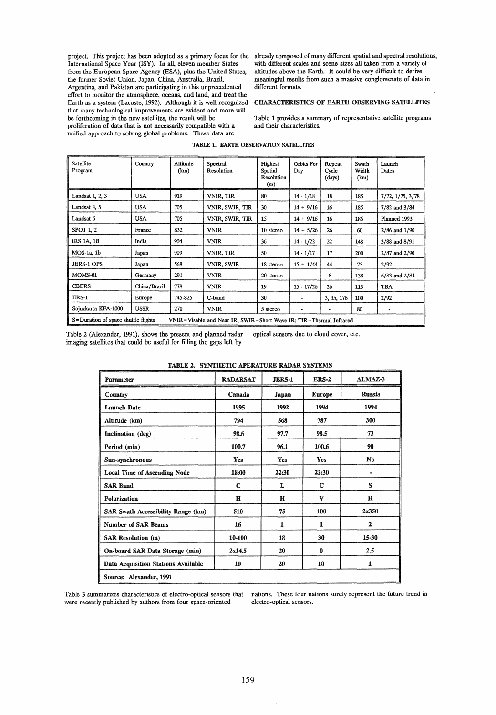International Space Year (ISY). In all, eleven member States from the European Space Agency (ESA), plus the United States, the former Soviet Union, Japan, China, Australia, Brazil, Argentina, and Pakistan are participating in this unprecedented effort to monitor the atmosphere, oceans, and land, and treat the Earth as a system (Lacoste, 1992). Although it is well recognized that many technological improvements are evident and more will be forthcoming in the new satellites, the result will be proliferation of data that is not necessarily compatible with a unified approach to solving global problems. These data are

project. This project has been adopted as a primary focus for the already composed of many different spatial and spectral resolutions, with different scales and scene sizes all taken from a variety of altitudes above the Earth. It could be very difficult to derive meaningful results from such a massive conglomerate of data in different formats.

# CHARACTERISTICS OF EARTH OBSERVING SATELUTES

Table 1 provides a summary of representative satellite programs and their characteristics.

| Satellite<br>Program                                                                                            | Country      | Altitude<br>(km) | Spectral<br>Resolution | Highest<br>Spatial<br>Resolution<br>(m) | Orbits Per<br>Day | Repeat<br>Cycle<br>(days) | Swath<br>Width<br>(km) | Launch<br>Dates  |
|-----------------------------------------------------------------------------------------------------------------|--------------|------------------|------------------------|-----------------------------------------|-------------------|---------------------------|------------------------|------------------|
| Landsat 1, 2, 3                                                                                                 | <b>USA</b>   | 919              | VNIR, TIR              | 80                                      | $14 - 1/18$       | 18                        | 185                    | 7/72, 1/75, 3/78 |
| Landsat 4, 5                                                                                                    | <b>USA</b>   | 705              | VNIR, SWIR, TIR        | 30                                      | $14 + 9/16$       | 16                        | 185                    | 7/82 and 3/84    |
| Landsat 6                                                                                                       | <b>USA</b>   | 705              | VNIR, SWIR, TIR        | 15                                      | $14 + 9/16$       | 16                        | 185                    | Planned 1993     |
| SPOT 1, 2                                                                                                       | France       | 832              | <b>VNIR</b>            | 10 stereo                               | $14 + 5/26$       | 26                        | 60                     | 2/86 and 1/90    |
| <b>IRS 1A, 1B</b>                                                                                               | India        | 904              | <b>VNIR</b>            | 36                                      | $14 - 1/22$       | 22                        | 148                    | 3/88 and 8/91    |
| MOS-1a, 1b                                                                                                      | Japan        | 909              | VNIR, TIR              | 50                                      | $14 - 1/17$       | 17                        | 200                    | 2/87 and 2/90    |
| <b>JERS-1 OPS</b>                                                                                               | Japan        | 568              | VNIR, SWIR             | 18 stereo                               | $15 + 1/44$       | 44                        | 75                     | 2/92             |
| MOMS-01                                                                                                         | Germany      | 291              | <b>VNIR</b>            | 20 stereo                               |                   | S                         | 138                    | 6/83 and 2/84    |
| <b>CBERS</b>                                                                                                    | China/Brazil | 778              | <b>VNIR</b>            | 19                                      | $15 - 17/26$      | 26                        | 113                    | <b>TBA</b>       |
| <b>ERS-1</b>                                                                                                    | Europe       | 745-825          | C-band                 | 30                                      | ۰                 | 3, 35, 176                | 100                    | 2/92             |
| Sojuzkarta KFA-1000                                                                                             | <b>USSR</b>  | 270              | <b>VNIR</b>            | 5 stereo                                | ٠                 |                           | 80                     |                  |
| S=Duration of space shuttle flights<br>VNIR = Visable and Near IR; SWIR = Short Wave IR; TIR = Thermal Infrared |              |                  |                        |                                         |                   |                           |                        |                  |

# TABLE 1. EARTH OBSERVATION SATELLITES

Table 2 (Alexander, 1991), shows the present and planned radar optical sensors due to cloud cover, etc. imaging satellites that could be useful for filling the gaps left by

| Parameter                                 | <b>RADARSAT</b> | JERS-1 | ERS-2         | ALMAZ-3        |  |
|-------------------------------------------|-----------------|--------|---------------|----------------|--|
| Country                                   | Canada          | Japan  | <b>Europe</b> | <b>Russia</b>  |  |
| <b>Launch Date</b>                        | 1995            | 1992   | 1994          | 1994           |  |
| Altitude (km)                             | 794             | 568    | 787           | 300            |  |
| Inclination (deg)                         | 98.6            | 97.7   | 98.5          | 73             |  |
| Period (min)                              | 100.7           | 96.1   | 100.6         | 90             |  |
| Sun-synchronous                           | Yes             | Yes    | Yes           | No             |  |
| <b>Local Time of Ascending Node</b>       | 18:00           | 22:30  | 22:30         | $\blacksquare$ |  |
| <b>SAR Band</b>                           | $\mathbf C$     | L      | $\mathbf C$   | S              |  |
| Polarization                              | $\mathbf H$     | Н      | v             | н              |  |
| <b>SAR Swath Accessibility Range (km)</b> | 510             | 75     | 100           | 2x350          |  |
| <b>Number of SAR Beams</b>                | 16              | 1      | 1             | $\mathbf{2}$   |  |
| <b>SAR Resolution (m)</b>                 | 10-100          | 18     | 30            | 15-30          |  |
| On-board SAR Data Storage (min)           | 2x14.5          | 20     | 0             | 2.5            |  |
| Data Acquisition Stations Available       | 10              | 20     | 10            | 1              |  |
| Source: Alexander, 1991                   |                 |        |               |                |  |

#### TABLE 2. SYNTHETIC ABER ATTEINED AN ALABER SYSTEMS

Table 3 summarizes characteristics of electro-optical sensors that were recently published by authors from four space-oriented

nations. These four nations surely represent the future trend in electro-optical sensors.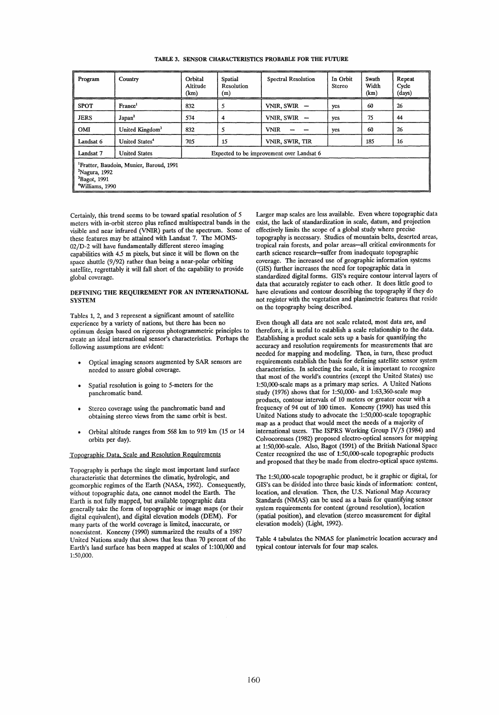| Program                                                                                                                        | Country                                                           | Orbital<br>Altitude<br>(km) | <b>Spatial</b><br>Resolution<br>(m) | <b>Spectral Resolution</b> | In Orbit<br>Stereo | Swath<br>Width<br>(km) | Repeat<br>Cycle<br>(days) |
|--------------------------------------------------------------------------------------------------------------------------------|-------------------------------------------------------------------|-----------------------------|-------------------------------------|----------------------------|--------------------|------------------------|---------------------------|
| <b>SPOT</b>                                                                                                                    | France <sup>1</sup>                                               | 832                         | 5                                   | VNIR, SWIR                 | yes                | 60                     | 26                        |
| <b>JERS</b>                                                                                                                    | Japan <sup>2</sup>                                                | 574                         | 4                                   | VNIR, SWIR $-$             | yes                | 75                     | 44                        |
| OMI                                                                                                                            | United Kingdom <sup>3</sup>                                       | 832                         | 5                                   | <b>VNIR</b>                | yes                | 60                     | 26                        |
| Landsat 6                                                                                                                      | United States <sup>4</sup>                                        | 705                         | 15                                  | VNIR, SWIR, TIR            |                    | 185                    | 16                        |
| Landsat 7                                                                                                                      | <b>United States</b><br>Expected to be improvement over Landsat 6 |                             |                                     |                            |                    |                        |                           |
| <sup>1</sup> Fratter, Baudoin, Munier, Baroud, 1991<br>$2$ Nagura, 1992<br>${}^{3}$ Bagot, 1991<br><sup>4</sup> Williams, 1990 |                                                                   |                             |                                     |                            |                    |                        |                           |

TABLE 3. SENSOR CHARACTERISTICS PROBABLE FOR THE FUTURE

Certainly, this trend seems to be toward spatial resolution of 5 meters with in-orbit stereo plus refined multispeetral bands in the visible and near infrared (VNIR) parts of the speetrum. Some of these features may be attained with Landsat 7. The MOMS-02/D-2 will have fundamentally different stereo imaging eapabilities with 4.5 m pixels, but sinee it will be flown on the space shuttle (9/92) rather than being a near-polar orbiting satellite, regrettably it will fall short of the eapability to provide global eoverage.

# DEFINING THE REQUIREMENT FOR AN INTERNATIONAL **SYSTEM**

Tables 1, 2, and 3 represent a signifieant amount of satellite experienee by a variety of nations, but there has been no optimum design based on rigorous photogrammetrie principles to ereate an ideal international sensor's eharaeteristics. Perhaps the following assumptions are evident:

- Optieal imaging sensors augmented by SAR sensors are needed to assure global eoverage.
- Spatial resolution is going to 5-meters for the panehromatie band.
- Stereo eoverage using the panehromatie band and obtaining stereo views from the same orbit is best.
- Orbital altitude ranges from 568 km to 919 km (15 or 14 orbits per day).

#### Topographie Data. Seale and Resolution Reguirements

Topography is perhaps the single most important land surfaee eharaeteristie that determines the elimatic, hydrologie, and geomorphie regimes of the Earth (NASA, 1992). Consequently, without topographie data, one eannot model the Earth. The Earth is not fully mapped, but available topographie data generally take the form of topographie or image maps (or their digital equivalent), and digital elevation models (DEM). For many parts of the world coverage is limited, inaccurate, or nonexistent. Konecny (1990) summarized the results of a 1987 United Nations study that shows that less than 70 pereent of the Earth's land surfaee has been mapped at scales of 1:100,000 and 1:50,000.

Larger map scales are less available. Even where topographie data exist, the laek of standardization in seale, datum, and projection effeetively limits the seope of a global study where precise topography is neeessary. Studies of mountain beIts, deserted areas, tropieal rain forests, and polar areas-all eritieal environments for earth scienee researeh-suffer from inadequate topographie eoverage. The inereased use of geographie information systems (GIS) further inereases the need for topographie data in standardized digital forms. GIS's require eontour intervallayers of data that accurately register to each other. It does little good to have elevations and eontour deseribing the topography if they do not register with the vegetation and planimetrie features that reside on the topography being deseribed.

Even though all data are not seale related, most data are, and therefore, it is useful to establish a scale relationship to the data. Establishing a product seale sets up a basis for quantifying the accuracy and resolution requirements for measurements that are needed for mapping and modeling. Then, in turn, these product requirements establish the basis for defining satellite sensor system eharaeteristics. In seleeting the seale, it is important to reeognize that most of the world's eountries (exeept the United States) use 1:50,000-scale maps as a primary map series. A United Nations study (1976) shows that for 1:50,000- and 1:63,360-seale map products, contour intervals of 10 meters or greater occur with a frequeney of 94 out of 100 times. Koneeny (1990) has used this United Nations study to advocate the 1:50,000-seale topographie map as a product that would meet the needs of a majority of international users. The ISPRS Working Group IV/3 (1984) and Colvoeoresses (1982) proposed eleetro-optieal sensors for mapping at 1:50,000-seale. Also, Bagot (1991) of the British National Spaee Center recognized the use of 1:50,000-scale topographic products and proposed that they be made from electro-optical space systems.

The 1:50,000-seale topographie produet, be it graphie or digital, for GIS's can be divided into three basie kinds of information: eontent, location, and elevation. Then, the U.S. National Map Accuracy Standards (NMAS) ean be used as a basis for quantifying sensor system requirements for eontent (ground resolution), Ioeation (spatial position), and elevation (stereo measurement for digital elevation models) (Light, 1992).

Table 4 tabulates the NMAS for planimetric location accuracy and typical eontour intervals for four map scales.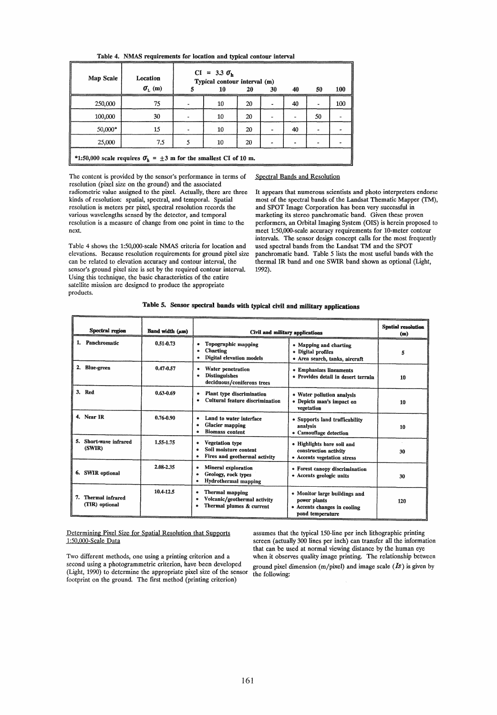|  |  | Table 4. NMAS requirements for location and typical contour interval |  |  |  |  |  |  |
|--|--|----------------------------------------------------------------------|--|--|--|--|--|--|
|--|--|----------------------------------------------------------------------|--|--|--|--|--|--|

| Map Scale | Location<br>$\sigma_{\rm L}$ (m)                                           |  | $CI = 3.3 \space \sigma_h$<br>Typical contour interval (m)<br>10 | 20 | 30 | 40 | 50 | 100 |
|-----------|----------------------------------------------------------------------------|--|------------------------------------------------------------------|----|----|----|----|-----|
| 250,000   | 75                                                                         |  | 10                                                               | 20 |    | 40 |    | 100 |
| 100,000   | 30                                                                         |  | 10                                                               | 20 |    |    | 50 |     |
| 50,000*   | 15                                                                         |  | 10                                                               | 20 |    | 40 |    |     |
| 25,000    | 7.5                                                                        |  | 10                                                               | 20 |    |    |    |     |
|           | *1:50,000 scale requires $\sigma_h = \pm 3$ m for the smallest CI of 10 m. |  |                                                                  |    |    |    |    |     |

The content is provided by the sensor's performance in terms of Spectral Bands and Resolution resolution (pixel size on the ground) and the associated radiometrie value assigned to the pixel. Actually, there are three kinds of resolution: spatial, spectral, and temporal. Spatial resolution is meters per pixel, speetral resolution reeords the various wavelengths sensed by the deteetor, and temporal resolution is a measure of change from one point in time to the next.

Table 4 shows the 1:50,000-seale NMAS eriteria for location and elevations. Beeause resolution requirements for ground pixel size can be related to elevation accuracy and contour interval, the sensor's ground pixel size is set by the required eontour interval. Using this technique, the basic characteristics of the entire satellite mission are designed to produce the appropriate products.

It appears that numerous scientists and photo interpreters endorse most of the spectral bands of the Landsat Thematic Mapper (TM), and SPOT Image Corporation has been very suceessful in marketing its stereo panchromatic band. Given these proven performers, an Orbital Imaging System (OIS) is herein proposed to meet 1:50,000-scale accuraey requirements for 10-meter eontour intervals. The sensor design eoncept calls for the most frequently used spectral bands from the Landsat TM and the SPOT panchromatic band. Table 5 lists the most useful bands with the thermal IR band and one SWIR band shown as optional (Light, 1992).

| Spectral region                           | Band width (am) | Civil and military applications                                                                     | <b>Spatial resolution</b><br>(m)                                                                  |     |
|-------------------------------------------|-----------------|-----------------------------------------------------------------------------------------------------|---------------------------------------------------------------------------------------------------|-----|
| Panchromatic<br>1.                        | $0.51 - 0.73$   | <b>Topographic mapping</b><br>¢<br><b>Charting</b><br>۰<br><b>Digital elevation models</b><br>e     | • Mapping and charting<br>• Digital profiles<br>· Area search, tanks, aircraft                    | 5   |
| 2.<br><b>Blue-green</b>                   | 0.47-0.57       | Water penetration<br>¢<br><b>Distinguishes</b><br>Ġ,<br>deciduous/coniferous trees                  | <b>• Emphasizes lineaments</b><br>· Provides detail in desert terrain                             | 10  |
| Red<br>3.                                 | 0.63-0.69       | Plant type discrimination<br>$\bullet$<br><b>Cultural feature discrimination</b><br>$\bullet$       | • Water pollution analysis<br>• Depicts man's impact on<br>vegetation                             | 10  |
| 4. Near IR                                | $0.76 - 0.90$   | Land to water interface<br>$\bullet$<br>Glacier mapping<br>٠<br><b>Biomass</b> content<br>$\bullet$ | • Supports land trafficability<br>analysis<br>• Camouflage detection                              | 10  |
| Short-wave infrared<br>5.<br>(SWIR)       | 1.55-1.75       | Vegetation type<br>۰<br>Soil moisture content<br>$\bullet$<br>Fires and geothermal activity<br>٠    | • Highlights bare soil and<br>construction activity<br>• Accents vegetation stress                | 30  |
| <b>SWIR</b> optional<br>6.                | 2.08-2.35       | Mineral exploration<br>۰<br>Geology, rock types<br>$\bullet$<br><b>Hydrothermal</b> mapping<br>٠    | • Forest canopy discrimination<br>• Accents geologic units                                        | 30  |
| <b>Thermal</b> infrared<br>(TIR) optional | 10.4-12.5       | Thermal mapping<br>۰<br>Volcanic/geothermal activity<br>٠<br>Thermal plumes & current<br>٠          | • Monitor large buildings and<br>power plants<br>• Accents changes in cooling<br>pond temperature | 120 |

# Table 5. Sensor spectral bands with typical civil and military applications

Determining Pixel Size for Spatial Resolution that Supports 1:50,000-Scale Data

assumes that the typical 150-line per inch lithographic printing screen (actually 300 lines per inch) ean transfer all the information that can be used at normal viewing distance by the human eye Two different methods, one using a printing criterion and a when it observes quality image printing. The relationship between ground pixel dimension  $(m/pixel)$  and image scale  $(\bar{I}s)$  is given by the following:

second using a photogrammetric criterion, have been developed (Light, 1990) to determine the appropriate pixel size of the sensor footprint on the ground. The first method (printing criterion)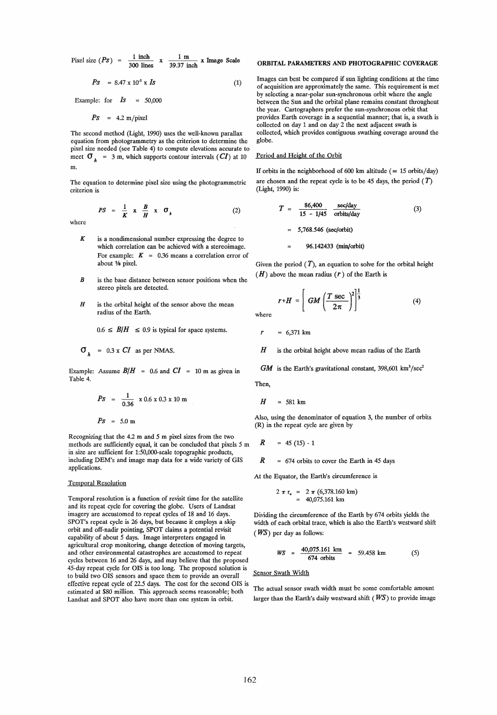Pixel size  $(Ps) = \frac{1 \text{ inch}}{300 \text{ lines}}$  $\frac{1 \text{ m}}{27 \cdot 1}$  x Image Scale 39.37 inch

$$
Ps = 8.47 \times 10^5 \times Is \tag{1}
$$

Example: for  $\mathbf{I}s = 50,000$ 

 $Ps = 4.2 \text{ m/pixel}$ 

The second method (Light, 1990) uses the well-known parallax equation from photogrammetry as the criterion to determine the pixel size needed (see Table 4) to compute elevations accurate to meet  $\sigma_h$  = 3 m, which supports contour intervals *(CI)* at 10 m.

The equation to determine pixel size using the photogrammetrie criterion is

$$
PS = \frac{1}{K} \times \frac{B}{H} \times \sigma_{h} \tag{2}
$$

where

- K is a nondimensional number expressing the degree to whieh eorrelation ean be aehieved with a stereoimage. For example:  $K = 0.36$  means a correlation error of about Va pixel.
- *B*  is the base distanee between sensor positions when the stereo pixels are detected.
- H is the orbital height of the sensor above the mean radius of the Earth.

 $0.6 \leq B/H \leq 0.9$  is typical for space systems.

$$
\sigma_{h} = 0.3 \times CI \text{ as per NMAS.}
$$

Example: Assume  $B/H = 0.6$  and  $CI = 10$  m as given in Table 4.

$$
Ps = \frac{1}{0.36} \times 0.6 \times 0.3 \times 10 \text{ m}
$$
  

$$
Ps = 5.0 \text{ m}
$$

Reeognizing that the 4.2 m and 5 m pixel sizes from the two methods are sufficiently equal, it can be concluded that pixels 5 m in size are sufficient for 1:50,000-scale topographie products, including DEM's and image map data for a wide variety of GIS  $R = 674$  orbits to cover the Earth in 45 days applieations.

#### Temporal Resolution

Temporal resolution is a function of revisit time for the satellite and its repeat eyde for eovering the globe. Users of Landsat imagery are accustomed to repeat cycles of 18 and 16 days. SPOT's repeat cycle is 26 days, but because it employs a skip orbit and off-nadir pointing, SPOT daims a potential revisit eapability of about 5 days. Image interpreters engaged in agrieultural erop monitoring, ehange detection of moving targets, and other environmental eatastrophes are aeeustomed to repeat eydes between 16 and 26 days, and may believe that the proposed 45-day repeat eyde for OIS is too long. The proposed solution is to build two OIS sensors and spaee them to provide an overall effeetive repeat eyde of 22.5 days. The eost for the second OIS is estimated at \$80 million. This approach seems reasonable; both Landsat and SPOT also have more than one system in orbit.

# ORBITAL PARAMETERS AND PHOTOGRAPHIC COVERAGE

Images can best be eompared if sun lighting conditions at the time of acquisition are approximately the same. This requirement is met by selecting a near-polar sun-synehronous orbit where the angle between the Sun and the orbital plane remains eonstant throughout the year. Cartographers prefer the sun-synehronous orbit that provides Earth eoverage in a sequential manner; that is, a swath is eollected on day 1 and on day 2 the next adjaeent swath is collected, which provides eontiguous swathing coverage around the globe.

#### Period and Height of the Orbit

If orbits in the neighborhood of 600 km altitude ( $\simeq$  15 orbits/day) are chosen and the repeat cycle is to be 45 days, the period  $(T)$ (Light, 1990) is:

$$
T = \frac{86,400}{15 - 1/45} \frac{\sec/day}{\text{orbits/day}} \tag{3}
$$

5,768.546 (sec/orbit)

96.142433 (min/orbit)

Given the period  $(T)$ , an equation to solve for the orbital height  $(H)$  above the mean radius  $(r)$  of the Earth is

$$
r+H = \left[ GM \left( \frac{T \sec}{2\pi} \right)^2 \right]^{\frac{1}{3}} \tag{4}
$$

where

 $r = 6.371 \text{ km}$ 

 $H$  is the orbital height above mean radius of the Earth

 $GM$  is the Earth's gravitational constant, 398,601 km<sup>3</sup>/sec<sup>2</sup>

Then,

$$
H = 581 \text{ km}
$$

Also, using the denominator of equation 3, the number of orbits (R) in the repeat eyde are given by

$$
R = 45 (15) - 1
$$

At the Equator, the Earth's circumference is

$$
2 \pi r_e = 2 \pi (6,378.160 \text{ km})
$$
  
= 40,075.161 km

Dividing the cireumferenee of the Earth by 674 orbits yields the width of eaeh orbital trace, which is also the Earth's westward shift  $(WS)$  per day as follows:

$$
WS = \frac{40,075.161 \text{ km}}{674 \text{ orbits}} = 59.458 \text{ km} \tag{5}
$$

Sensor Swath Width

The actual sensor swath width must be some comfortable amount larger than the Earth's daily westward shift ( $W\!S$ ) to provide image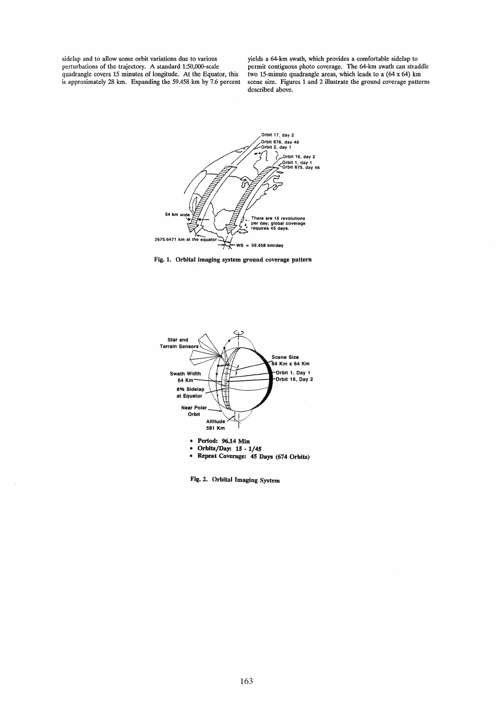sidelap and to allow some orbit variations due to various perturbations of the trajectory. A standard 1:50,OOO-scale quadrangle covers 15 minutes of longitude. At the Equator, this is approximately 28 km. Expanding the 59.458 km by 7.6 percent

yields a 64-km swath, which provides a comfortable sidelap to permit contiguous photo coverage. The 64-km swath can straddle two 15-minute quadrangle areas, which leads to a (64 x 64) km scene size. Figures 1 and 2 illustrate the ground coverage patterns described above.







Fig. 2. Orbital Imaging System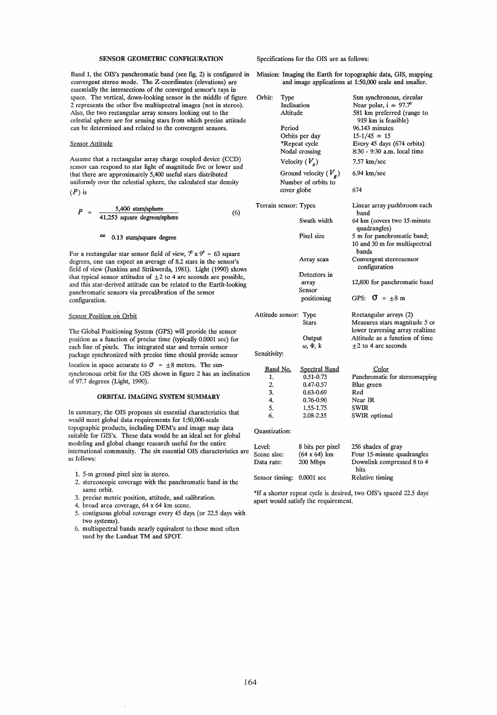# SENSOR GEOMETRIC CONFIGURATION

Band 1, the OIS's panchromatic band (see fig. 2) is configured in convergent stereo mode. The Z-coordinates (elevations) are essentially the intersections of the converged sensor's rays in space. The vertical, down-looking sensor in the middle of figure 2 represents the other five multispectral images (not in stereo). Also, the two rectangular array sensors looking out to the celestial sphere are for sensing stars from which precise attitude can be determined and related to the convergent sensors.

#### Sensor Attitude

Assume that a rectangular array charge coupled device (CCD) sensor can respond to star light of magnitude five or lower and that there are approximately 5,400 useful stars distributed uniformly over the celestial sphere, the calculated star density  $(P)$  is

$$
P = \frac{5,400 \text{ stars/sphere}}{41,253 \text{ square degrees/sphere}}
$$
 (6)

#### 0.13 stars/square degree

For a rectangular star sensor field of view,  $7^0$  x  $9^0$  = 63 square degrees, one can expect an average of 8.2 stars in the sensor's field of view (Junkins and Strikwerda, 1981). Light (1990) shows that typical sensor attitudes of  $\pm 2$  to 4 arc seconds are possible, and this star-derived attitude can be related to the Earth-Iooking panchromatic sensors via precalibration of the sensor configuration.

#### Sensor Position on Orbit

The Global Positioning System (GPS) will provide the sensor position as a function of precise time (typically 0.0001 sec) for each line of pixels. The integrated star and terrain sensor package synchronized with precise time should provide sensor

location in space accurate to  $\sigma = \pm 8$  meters. The sunsynehronous orbit for the OIS shown in figure 2 has an inclination of 97.7 degrees (Light, 1990).

## ORBITAL IMAGING SYSTEM SUMMARY

In summary, the OIS proposes six essential characteristics that would meet global data requirements for 1:50,000-scale topographie products, including DEM's and image map data suitable for GIS's. These data would be an ideal set for global modeling and global change research useful for the entire international community. The six essential OIS characteristics are as follows:

- 1. 5-m ground pixel size in stereo.
- 2. stereoscopic coverage with the panchromatic band in the same orbit.
- 3. precise metric position, attitude, and calibration.
- 4. broad area coverage, 64 x 64 km scene.
- 5. contiguous global coverage every 45 days (or 22.5 days with two systems).
- 6. multispectral bands nearly equivalent to those most often used by the Landsat TM and SPOT.

Specifications for the OIS are as follows:

Mission: Imaging the Earth for topographie data, GIS, mapping and image applications at 1:50,000 scale and smaller.

| Orbit:<br>Type<br>Inclination<br>Altitude |          |                         | Sun synchronous, circular<br>Near polar, $i \approx 97.7^{\circ}$<br>581 km preferred (range to |
|-------------------------------------------|----------|-------------------------|-------------------------------------------------------------------------------------------------|
|                                           |          |                         | 919 km is feasible)                                                                             |
|                                           | Period   |                         | 96.143 minutes                                                                                  |
|                                           |          | Orbits per day          | $15-1/45 \approx 15$                                                                            |
|                                           |          | *Repeat cycle           | Every 45 days (674 orbits)                                                                      |
|                                           |          | Nodal crossing          | 8:30 - 9:30 a.m. local time                                                                     |
|                                           |          | Velocity $(V_s)$        | 7.57 km/sec                                                                                     |
|                                           |          | Ground velocity $(V_g)$ | $6.94 \text{ km/sec}$                                                                           |
|                                           |          | Number of orbits to     |                                                                                                 |
|                                           |          | cover globe             | 674                                                                                             |
| Terrain sensor: Types                     |          |                         | Linear array pushbroom each<br>band                                                             |
|                                           |          | Swath width             | 64 km (covers two 15-minute<br>quadrangles)                                                     |
|                                           |          | Pixel size              | 5 m for panchromatic band;                                                                      |
|                                           |          |                         | 10 and 30 m for multispectral                                                                   |
|                                           |          |                         | bands                                                                                           |
|                                           |          | Array scan              | Convergent stereosensor                                                                         |
|                                           |          |                         | configuration                                                                                   |
|                                           |          | Detectors in            |                                                                                                 |
|                                           |          | array                   | 12,800 for panchromatic band                                                                    |
|                                           |          | Sensor                  | GPS: $\sigma = \pm 8 \text{ m}$                                                                 |
|                                           |          | positioning             |                                                                                                 |
| Attitude sensor: Type                     |          |                         | Rectangular arrays (2)                                                                          |
|                                           |          | <b>Stars</b>            | Measures stars magnitude 5 or                                                                   |
|                                           |          |                         | lower traversing array realtime                                                                 |
|                                           |          | Output                  | Attitude as a function of time                                                                  |
|                                           |          | ω, Φ, k                 | $\pm 2$ to 4 arc seconds                                                                        |
| Sensitivity:                              |          |                         |                                                                                                 |
|                                           | Band No. | <b>Spectral Band</b>    | Color                                                                                           |
| 1.                                        |          | 0.51-0.73               | Panchromatic for stereomapping                                                                  |
| 2.                                        |          | 0.47-0.57               | Blue green                                                                                      |
| 3.                                        |          | $0.63 - 0.69$           | Red                                                                                             |
| 4.                                        |          | 0.76-0.90               | Near IR                                                                                         |
| 5.                                        |          | 1.55-1.75               | SWIR                                                                                            |
| 6.                                        |          | 2.08-2.35               | SWIR optional                                                                                   |
| Quantization:                             |          |                         |                                                                                                 |
| Level:                                    |          | 8 bits per pixel        | 256 shades of gray                                                                              |
| Scene size:                               |          | $(64 \times 64)$ km     | Four 15-minute quadrangles                                                                      |
| Data rate:                                |          | 200 Mbps                | Downlink compressed 8 to 4<br>bits                                                              |
| Sensor timing:                            |          | $0.0001$ sec            | Relative timing                                                                                 |

\*If a shorter repeat cycle is desired, two OIS's spaced 22.5 days' apart would satisfy the requirement.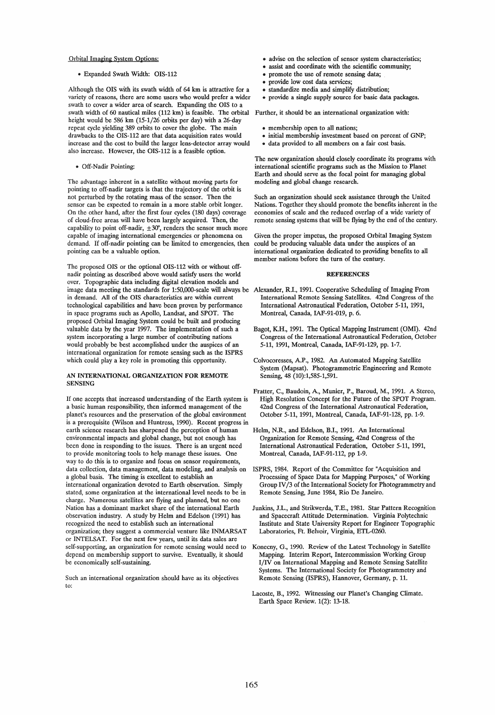#### Orbital Imaging System Options:

.. Expanded Swath Width: OIS-112

Although the OIS with its swath width of 64 km is attractive for a variety of reasons, there are some users who would prefer a wider swath to cover a wider area of search. Expanding the OIS to a swath width of 60 nautical miles (112 km) is feasible. The orbital Further, it should be an international organization with: height would be 586 km (15-1/26 orbits per day) with a 26-day repeat cyde yielding 389 orbits to cover the globe. The main drawbacks to the OIS-112 are that data acquisition rates would increase and the cost to build the larger lens-detector array would also increase. However, the OIS-112 is a feasible option.

.. Off-Nadir Pointing:

The advantage inherent in a satellite without moving parts for pointing to off-nadir targets is that the trajectory of the orbit is not perturbed by the rotating mass of the sensor. Then the sensor can be expected to remain in a more stable orbit longer . On the other hand, after the first four cydes (180 days) coverage of doud-free areas will have been largely acquired. Then, the capability to point off-nadir,  $\pm 30^\circ$ , renders the sensor much more capable of imaging international emergencies or phenomena on demand. If off-nadir pointing can be limited to emergencies, then pointing can be a valuable option.

The proposed OIS or the optional OIS-112 with or without offnadir pointing as described above would satisfy users the world over. Topographie data including digital elevation models and in demand. All of the OIS characteristics are within current technological capabilities and have been proven by performance in space programs such as Apollo, Landsat, and SPOT. The proposed Orbital Imaging System could be built and producing valuable data by the year 1997. The implementation of such a system incorporating a large number of contributing nations would probably be best accomplished under the auspices of an international organization for remote sensing such as the ISPRS which could play a key role in promoting this opportunity.

## AN INTERNATIONAL ORGANIZATION FOR REMOTE SENSING

If one accepts that increased understanding of the Earth system is a basic human responsibility, then informed management of the planet's resources and the preservation of the global environment is aprerequisite (Wilson and Huntress, 1990). Recent progress in earth science research has sharpened the perception of human environmental impacts and global change, but not enough has been done in responding to the issues. There is an urgent need to provide monitoring tools to help manage these issues. One way to do this is to organize and focus on sensor requirements, data collection, data management, data modeling, and analysis on a global basis. The timing is excellent to establish an international organization devoted to Earth observation. Simply stated, some organization at the international level needs to be in charge. Numerous satellites are flying and planned, but no one Nation has a dominant market share of the international Earth observation industry. A study by Helm and Edelson (1991) has recognized the need to establish such an international organization; they suggest a commercial venture like INMARSAT or INTELSAT. For the next few years, until its data sales are self-supporting, an organization for remote sensing would need to depend on membership support to survive. Eventually, it should be economically self-sustaining.

Such an international organization should have as its objectives to:

- advise on the selection of sensor system characteristics;
- assist and coordinate with the scientific community;
- promote the use of remote sensing data;
- provide low cost data services:
- standardize media and simplify distribution;
- provide a single supply source for basic data packages.
- 
- .. membership open to all nations;
- initial membership investment based on percent of GNP;
- . data provided to all members on a fair cost basis.

The new organization should closely coordinate its programs with international scientific programs such as the Mission to Planet Earth and should serve as the focal point for managing global modeling and global change research.

Such an organization should seek assistance through the United Nations. Together they should promote the benefits inherent in the economies of scale and the reduced overlap of a wide variety of remote sensing systems that will be flying by the end of the century.

Given the proper impetus, the proposed Orbital Imaging System could be producing valuable data under the auspices of an international organization dedicated to providing benefits to all member nations before the turn of the century.

#### **REFERENCES**

- image data meeting the standards for 1:50,OOO-scale will always be Alexander, R.I., 1991. Cooperative Scheduling of Imaging From International Remote Sensing Satellites. 42nd Congress of the International Astronautical Federation, October 5-11, 1991, Montreal, Canada, IAF-91-019, p. 6.
	- Bagot, K.H., 1991. The Optical Mapping Instrument (OMI). 42nd Congress of the International Astronautical Federation, October 5-11, 1991, Montreal, Canada, IAF-91-129, pp. 1-7.
	- Colvocoresses, A.P., 1982. An Automated Mapping Satellite System (Mapsat). Photogrammetric Engineering and Remote Sensing, 48 (10):1,585-1,591.
	- Fratter, c., Baudoin, A., Munier, P., Baroud, M., 1991. A Stereo, High Resolution Concept for the Future of the SPOT Program. 42nd Congress of the International Astronautical Federation, October 5-11, 1991, Montreal, Canada, IAF-91-128, pp. 1-9.
	- Helm, N.R., and Edelson, B.I., 1991. An International Organization for Remote Sensing, 42nd Congress of the International Astronautical Federation, October 5-11, 1991, Montreal, Canada, IAF-91-112, pp 1-9.
	- ISPRS, 1984. Report of the Committee for "Acquisition and Processing of Space Data for Mapping Purposes," of Working Group IV /3 of the International Society for Photogrammetry and Remote Sensing, June 1984, Rio De Janeiro.
	- Junkins, J.L., and Strikwerda, T.E., 1981. Star Pattern Recognition and Spacecraft Attitude Determination. Virginia Polytechnie Institute and State University Report for Engineer Topographie Laboratories, Ft. Belvoir, Virginia, ETL-0260.
	- Konecny, G., 1990. Review of the Latest Technology in Satellite Mapping. Interim Report, Intercommission Working Group I/IV on International Mapping and Remote Sensing Satellite Systems. The International Society for Photogrammetry and Remote Sensing (ISPRS), Hannover, Germany, p. 11.
	- Lacoste, B., 1992. Witnessing our Planet's Changing Climate. Earth Space Review. 1(2): 13-18.